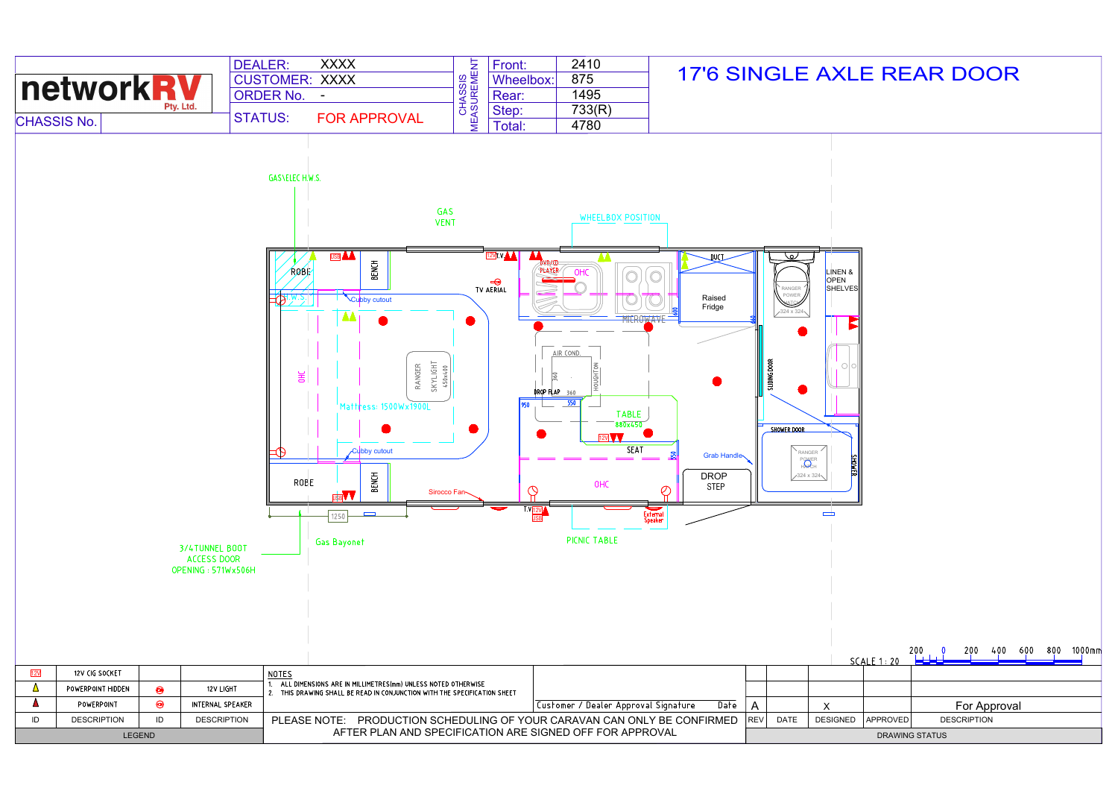